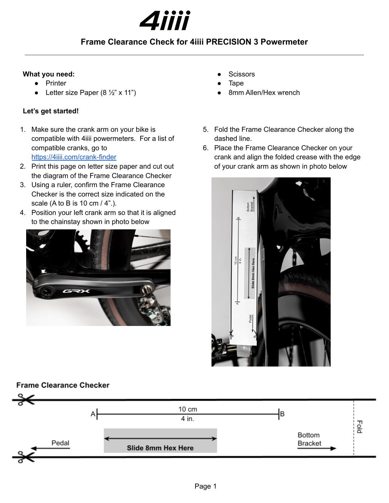

## **Frame Clearance Check for 4iiii PRECISION 3 Powermeter**

#### **What you need:**

- **Printer**
- Letter size Paper (8  $\frac{1}{2}$ " x 11")

### **Let's get started!**

- 1. Make sure the crank arm on your bike is compatible with 4iiii powermeters. For a list of compatible cranks, go to <https://4iiii.com/crank-finder>
- 2. Print this page on letter size paper and cut out the diagram of the Frame Clearance Checker
- 3. Using a ruler, confirm the Frame Clearance Checker is the correct size indicated on the scale (A to B is 10 cm / 4".).
- 4. Position your left crank arm so that it is aligned to the chainstay shown in photo below



- **Scissors**
- **Tape**
- 8mm Allen/Hex wrench
- 5. Fold the Frame Clearance Checker along the dashed line.
- 6. Place the Frame Clearance Checker on your crank and align the folded crease with the edge of your crank arm as shown in photo below



### **Frame Clearance Checker**